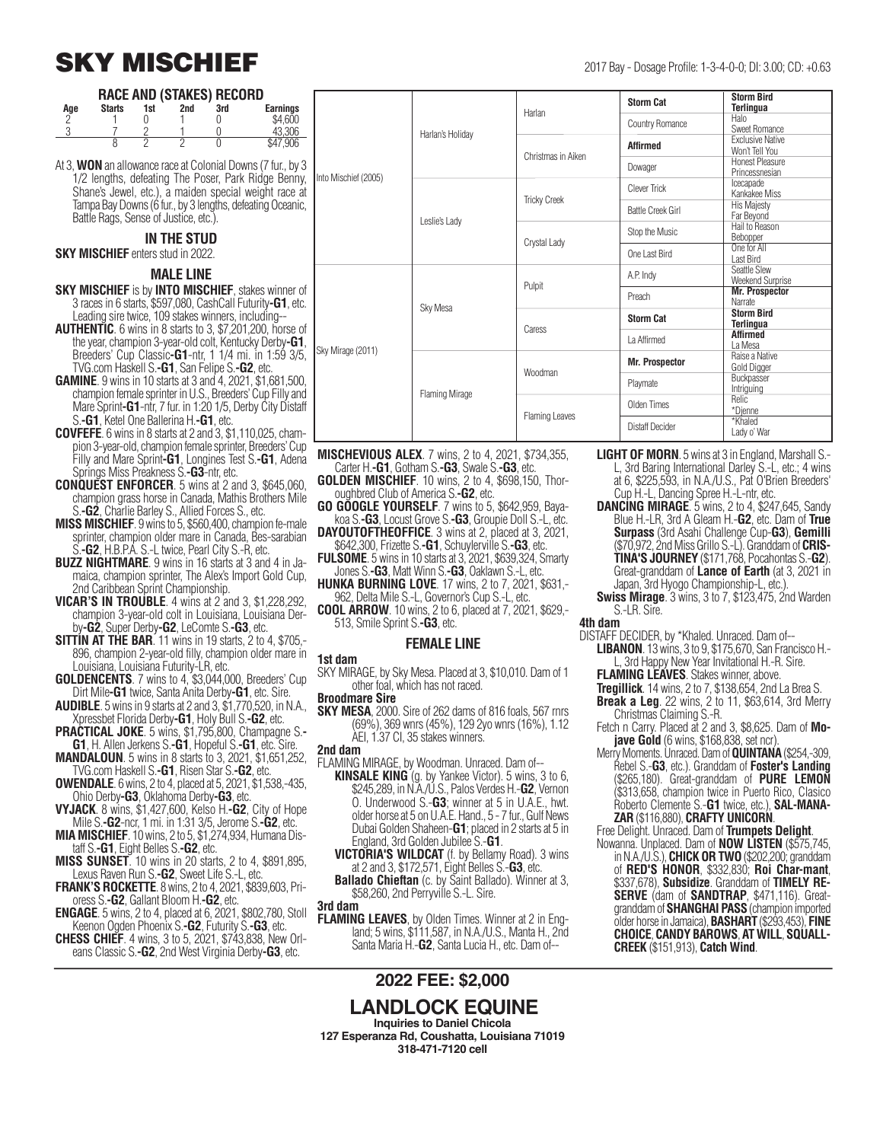### **SKY MISCHIEF** 2017 Bay - Dosage Profile: 1-3-4-0-0; DI: 3.00; CD: +0.63

#### **RACE AND (STAKES) RECORD**

| Age | <b>Starts</b> | 1st | 2nd | 3rd | <b>Earnings</b> |
|-----|---------------|-----|-----|-----|-----------------|
|     |               |     |     |     | \$4.600         |
|     |               |     |     |     | 43.306          |
|     |               |     |     |     | \$47.906        |

At 3, **WON** an allowance race at Colonial Downs (7 fur., by 3 1/2 lengths, defeating The Poser, Park Ridge Benny, Shane's Jewel, etc.), a maiden special weight race at Tampa Bay Downs (6 fur., by 3 lengths, defeating Oceanic, Battle Rags, Sense of Justice, etc.).

#### **IN THE STUD**

**SKY MISCHIEF** enters stud in 2022.

#### **MALE LINE**

- **SKY MISCHIEF** is by **INTO MISCHIEF**, stakes winner of 3 races in 6 starts, \$597,080, CashCall Futurity**-G1**, etc. Leading sire twice, 109 stakes winners, including--
- **AUTHENTIC**. 6 wins in 8 starts to 3, \$7,201,200, horse of the year, champion 3-year-old colt, Kentucky Derby**-G1**, Breeders' Cup Classic**-G1**-ntr, 1 1/4 mi. in 1:59 3/5, TVG.com Haskell S.**-G1**, San Felipe S.**-G2**, etc.
- **GAMINE**. 9 wins in 10 starts at 3 and 4, 2021, \$1,681,500, champion female sprinter in U.S., Breeders' Cup Filly and Mare Sprint**-G1**-ntr, 7 fur. in 1:20 1/5, Derby City Distaff S.**-G1**, Ketel One Ballerina H.**-G1**, etc.
- **COVFEFE**. 6 wins in 8 starts at 2 and 3, \$1,110,025, champion 3-year-old, champion female sprinter, Breeders' Cup Filly and Mare Sprint**-G1**, Longines Test S.**-G1**, Adena Springs Miss Preakness S.**-G3**-ntr, etc.
- **CONQUEST ENFORCER**. 5 wins at 2 and 3, \$645,060, champion grass horse in Canada, Mathis Brothers Mile S.**-G2**, Charlie Barley S., Allied Forces S., etc.
- **MISS MISCHIEF**. 9 wins to 5, \$560,400, champion fe-male sprinter, champion older mare in Canada, Bes-sarabian S.**-G2**, H.B.P.A. S.-L twice, Pearl City S.-R, etc.
- **BUZZ NIGHTMARE**. 9 wins in 16 starts at 3 and 4 in Jamaica, champion sprinter, The Alex's Import Gold Cup, 2nd Caribbean Sprint Championship.
- **VICAR'S IN TROUBLE**. 4 wins at 2 and 3, \$1,228,292, champion 3-year-old colt in Louisiana, Louisiana Derby**-G2**, Super Derby**-G2**, LeComte S.**-G3**, etc.
- **SITTIN AT THE BAR.** 11 wins in 19 starts, 2 to 4, \$705,-896, champion 2-year-old filly, champion older mare in Louisiana, Louisiana Futurity-LR, etc.
- **GOLDENCENTS**. 7 wins to 4, \$3,044,000, Breeders' Cup Dirt Mile**-G1** twice, Santa Anita Derby**-G1**, etc. Sire.
- **AUDIBLE**. 5 wins in 9 starts at 2 and 3, \$1,770,520, in N.A., Xpressbet Florida Derby**-G1**, Holy Bull S.**-G2**, etc.
- **PRACTICAL JOKE**. 5 wins, \$1,795,800, Champagne S.**- G1**, H. Allen Jerkens S.**-G1**, Hopeful S.**-G1**, etc. Sire.
- **MANDALOUN**. 5 wins in 8 starts to 3, 2021, \$1,651,252, TVG.com Haskell S.**-G1**, Risen Star S.**-G2**, etc.
- **OWENDALE**. 6 wins, 2 to 4, placed at 5, 2021, \$1,538,-435, Ohio Derby**-G3**, Oklahoma Derby**-G3**, etc.
- **VYJACK**. 8 wins, \$1,427,600, Kelso H.**-G2**, City of Hope Mile S.**-G2**-ncr, 1 mi. in 1:31 3/5, Jerome S.**-G2**, etc.
- **MIA MISCHIEF**. 10 wins, 2 to 5, \$1,274,934, Humana Distaff S.**-G1**, Eight Belles S.**-G2**, etc.
- **MISS SUNSET**. 10 wins in 20 starts, 2 to 4, \$891,895, Lexus Raven Run S.**-G2**, Sweet Life S.-L, etc.
- **FRANK'S ROCKETTE**. 8 wins, 2 to 4, 2021, \$839,603, Prioress S.**-G2**, Gallant Bloom H.**-G2**, etc.
- **ENGAGE**. 5 wins, 2 to 4, placed at 6, 2021, \$802,780, Stoll
- Keenon Ogden Phoenix S.**-G2**, Futurity S.**-G3**, etc. **CHESS CHIEF**. 4 wins, 3 to 5, 2021, \$743,838, New Orleans Classic S.**-G2**, 2nd West Virginia Derby**-G3**, etc.

|                      |                       | Harlan                | <b>Storm Cat</b>         | <b>Storm Bird</b><br><b>Terlingua</b>     |
|----------------------|-----------------------|-----------------------|--------------------------|-------------------------------------------|
|                      |                       |                       | Country Romance          | Halo<br>Sweet Romance                     |
|                      | Harlan's Holiday      | Christmas in Aiken    | <b>Affirmed</b>          | <b>Exclusive Native</b><br>Won't Tell You |
|                      |                       |                       | Dowager                  | Honest Pleasure<br>Princessnesian         |
| Into Mischief (2005) |                       | <b>Tricky Creek</b>   | Clever Trick             | Icecapade<br>Kankakee Miss                |
|                      | Leslie's Lady         |                       | <b>Battle Creek Girl</b> | <b>His Majesty</b><br>Far Beyond          |
|                      |                       | Crystal Lady          | Stop the Music           | Hail to Reason<br>Bebopper                |
|                      |                       |                       | One Last Bird            | One for All<br><b>Last Bird</b>           |
|                      |                       | Pulpit                | A.P. Indy                | Seattle Slew<br><b>Weekend Surprise</b>   |
|                      |                       |                       | Preach                   | <b>Mr. Prospector</b><br>Narrate          |
|                      | Sky Mesa              |                       | <b>Storm Cat</b>         | <b>Storm Bird</b><br><b>Terlingua</b>     |
|                      |                       | Caress                | La Affirmed              | <b>Affirmed</b><br>La Mesa                |
| Sky Mirage (2011)    |                       |                       | <b>Mr. Prospector</b>    | Raise a Native<br>Gold Digger             |
|                      | <b>Flaming Mirage</b> | Woodman               | Playmate                 | Buckpasser<br>Intriguing                  |
|                      |                       |                       | Olden Times              | <b>Relic</b><br>*Djenne                   |
|                      |                       | <b>Flaming Leaves</b> | <b>Distaff Decider</b>   | *Khaled<br>Lady o' War                    |

- **MISCHEVIOUS ALEX.** 7 wins, 2 to 4, 2021, \$734,355, Carter H.**-G1**, Gotham S.**-G3**, Swale S.**-G3**, etc.
- **GOLDEN MISCHIEF**. 10 wins, 2 to 4, \$698,150, Thoroughbred Club of America S.**-G2**, etc.
- **GO GOOGLE YOURSELF**. 7 wins to 5, \$642,959, Bayakoa S.**-G3**, Locust Grove S.**-G3**, Groupie Doll S.-L, etc.
- **DAYOUTOFTHEOFFICE**. 3 wins at 2, placed at 3, 2021,
- \$642,300, Frizette S.**-G1**, Schuylerville S.**-G3**, etc. **FULSOME**. 5 wins in 10 starts at 3, 2021, \$639,324, Smarty
- Jones S.**-G3**, Matt Winn S.**-G3**, Oaklawn S.-L, etc. **HUNKA BURNING LOVE**. 17 wins, 2 to 7, 2021, \$631,-
- 962, Delta Mile S.-L, Governor's Cup S.-L, etc. **COOL ARROW**. 10 wins, 2 to 6, placed at 7, 2021, \$629,- 513, Smile Sprint S.**-G3**, etc.

#### **FEMALE LINE**

- **1st dam**
- SKY MIRAGE, by Sky Mesa. Placed at 3, \$10,010. Dam of 1 other foal, which has not raced.
- **Broodmare Sire**
- **SKY MESA**, 2000. Sire of 262 dams of 816 foals, 567 rnrs (69%), 369 wnrs (45%), 129 2yo wnrs (16%), 1.12 AEI, 1.37 CI, 35 stakes winners.
- **2nd dam**
- FLAMING MIRAGE, by Woodman. Unraced. Dam of-- **KINSALE KING** (g. by Yankee Victor). 5 wins, 3 to 6, \$245,289, in N.A./U.S., Palos Verdes H.-**G2**, Vernon O. Underwood S.-**G3**; winner at 5 in U.A.E., hwt. older horse at 5 on U.A.E. Hand., 5 - 7 fur., Gulf News Dubai Golden Shaheen-**G1**; placed in 2 starts at 5 in England, 3rd Golden Jubilee S.-**G1**.
	- **VICTORIA'S WILDCAT** (f. by Bellamy Road). 3 wins at 2 and 3, \$172,571, Eight Belles S.-**G3**, etc.
- **Ballado Chieftan** (c. by Saint Ballado). Winner at 3, \$58,260, 2nd Perryville S.-L. Sire.

**3rd dam**

**FLAMING LEAVES**, by Olden Times. Winner at 2 in England; 5 wins, \$111,587, in N.A./U.S., Manta H., 2nd Santa Maria H.-**G2**, Santa Lucia H., etc. Dam of--

#### **2022 FEE: \$2,000**

#### **LANDLOCK EQUINE Inquiries to Daniel Chicola**

**127 Esperanza Rd, Coushatta, Louisiana 71019 318-471-7120 cell**

- **LIGHT OF MORN**. 5 wins at 3 in England, Marshall S.- L, 3rd Baring International Darley S.-L, etc.; 4 wins at 6, \$225,593, in N.A./U.S., Pat O'Brien Breeders' Cup H.-L, Dancing Spree H.-L-ntr, etc.
- **DANCING MIRAGE**. 5 wins, 2 to 4, \$247,645, Sandy Blue H.-LR, 3rd A Gleam H.-**G2**, etc. Dam of **True Surpass** (3rd Asahi Challenge Cup-**G3**), **Gemilli** (\$70,972, 2nd Miss Grillo S.-L). Granddam of **CRIS-TINA'S JOURNEY** (\$171,768, Pocahontas S.-**G2**). Great-granddam of **Lance of Earth** (at 3, 2021 in Japan, 3rd Hyogo Championship-L, etc.).
- **Swiss Mirage**. 3 wins, 3 to 7, \$123,475, 2nd Warden S.-LR. Sire.

**4th dam**

- DISTAFF DECIDER, by \*Khaled. Unraced. Dam of--
	- **LIBANON**. 13 wins, 3 to 9, \$175,670, San Francisco H.- L, 3rd Happy New Year Invitational H.-R. Sire.
	- **FLAMING LEAVES**. Stakes winner, above.
	- **Tregillick**. 14 wins, 2 to 7, \$138,654, 2nd La Brea S.
	- **Break a Leg**. 22 wins, 2 to 11, \$63,614, 3rd Merry Christmas Claiming S.-R.
	- Fetch n Carry. Placed at 2 and 3, \$8,625. Dam of **Mojave Gold** (6 wins, \$168,838, set ncr).
	- Merry Moments. Unraced. Dam of **QUINTANA** (\$254,-309, Rebel S.-**G3**, etc.). Granddam of **Foster's Landing** (\$265,180). Great-granddam of **PURE LEMON** (\$313,658, champion twice in Puerto Rico, Clasico Roberto Clemente S.-**G1** twice, etc.), **SAL-MANA-ZAR** (\$116,880), **CRAFTY UNICORN**.
	- Free Delight. Unraced. Dam of **Trumpets Delight**.
	- Nowanna. Unplaced. Dam of **NOW LISTEN** (\$575,745, in N.A./U.S.), **CHICK OR TWO** (\$202,200; granddam of **RED'S HONOR**, \$332,830; **Roi Char-mant**, \$337,678), **Subsidize**. Granddam of **TIMELY RE-SERVE** (dam of **SANDTRAP**, \$471,116). Greatgranddam of **SHANGHAI PASS** (champion imported older horse in Jamaica), **BASHART** (\$293,453), **FINE CHOICE**, **CANDY BAROWS**, **AT WILL**, **SQUALL- CREEK** (\$151,913), **Catch Wind**.